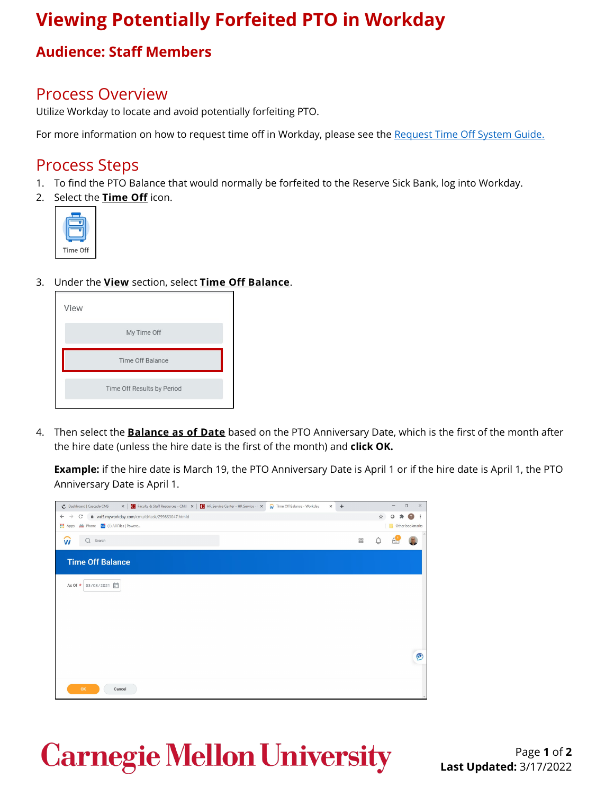## **Viewing Potentially Forfeited PTO in Workday**

#### **Audience: Staff Members**

## Process Overview

Utilize Workday to locate and avoid potentially forfeiting PTO.

For more information on how to request time off in Workday, please see the [Request Time Off System Guide.](https://www.cmu.edu/my-workday-toolkit/quick-guides/restricted/quick-guide-request-time-off.pdf)

## Process Steps

- 1. To find the PTO Balance that would normally be forfeited to the Reserve Sick Bank, log into Workday.
- 2. Select the **Time Off** icon.



3. Under the **View** section, select **Time Off Balance**.

| View |                            |
|------|----------------------------|
|      | My Time Off                |
|      | <b>Time Off Balance</b>    |
|      | Time Off Results by Period |

4. Then select the **Balance as of Date** based on the PTO Anniversary Date, which is the first of the month after the hire date (unless the hire date is the first of the month) and **click OK.**

**Example:** if the hire date is March 19, the PTO Anniversary Date is April 1 or if the hire date is April 1, the PTO Anniversary Date is April 1.



# **Carnegie Mellon University**

Page **1** of **2 Last Updated:** 3/17/2022